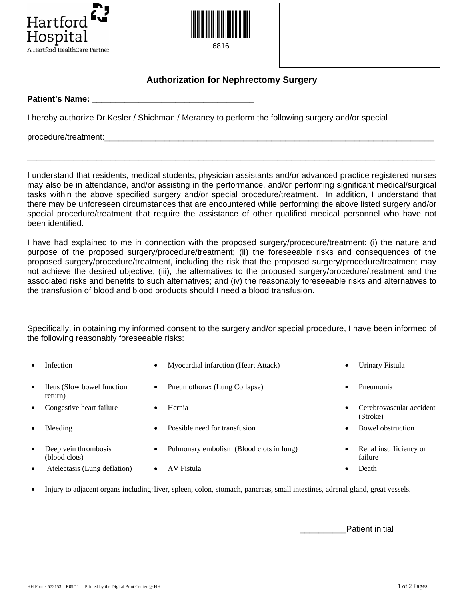



6816

## **Authorization for Nephrectomy Surgery**

**Patient's Name: \_\_\_\_\_\_\_\_\_\_\_\_\_\_\_\_\_\_\_\_\_\_\_\_\_\_\_\_\_\_\_\_\_\_\_** 

I hereby authorize Dr.Kesler / Shichman / Meraney to perform the following surgery and/or special

procedure/treatment:

I understand that residents, medical students, physician assistants and/or advanced practice registered nurses may also be in attendance, and/or assisting in the performance, and/or performing significant medical/surgical tasks within the above specified surgery and/or special procedure/treatment. In addition, I understand that there may be unforeseen circumstances that are encountered while performing the above listed surgery and/or special procedure/treatment that require the assistance of other qualified medical personnel who have not been identified.

\_\_\_\_\_\_\_\_\_\_\_\_\_\_\_\_\_\_\_\_\_\_\_\_\_\_\_\_\_\_\_\_\_\_\_\_\_\_\_\_\_\_\_\_\_\_\_\_\_\_\_\_\_\_\_\_\_\_\_\_\_\_\_\_\_\_\_\_\_\_\_\_\_\_\_\_\_\_\_\_\_\_\_\_\_\_\_\_

I have had explained to me in connection with the proposed surgery/procedure/treatment: (i) the nature and purpose of the proposed surgery/procedure/treatment; (ii) the foreseeable risks and consequences of the proposed surgery/procedure/treatment, including the risk that the proposed surgery/procedure/treatment may not achieve the desired objective; (iii), the alternatives to the proposed surgery/procedure/treatment and the associated risks and benefits to such alternatives; and (iv) the reasonably foreseeable risks and alternatives to the transfusion of blood and blood products should I need a blood transfusion.

Specifically, in obtaining my informed consent to the surgery and/or special procedure, I have been informed of the following reasonably foreseeable risks:

| $\bullet$ | <b>Infection</b>                      | $\bullet$ | Myocardial infarction (Heart Attack)     | $\bullet$ | Urinary Fistula                      |
|-----------|---------------------------------------|-----------|------------------------------------------|-----------|--------------------------------------|
| $\bullet$ | Ileus (Slow bowel function<br>return) | $\bullet$ | Pneumothorax (Lung Collapse)             | $\bullet$ | Pneumonia                            |
| $\bullet$ | Congestive heart failure              | $\bullet$ | Hernia                                   |           | Cerebrovascular accident<br>(Stroke) |
| $\bullet$ | <b>Bleeding</b>                       | $\bullet$ | Possible need for transfusion            | $\bullet$ | Bowel obstruction                    |
| $\bullet$ | Deep vein thrombosis<br>(blood clots) | $\bullet$ | Pulmonary embolism (Blood clots in lung) | $\bullet$ | Renal insufficiency or<br>failure    |
| $\bullet$ | Atelectasis (Lung deflation)          |           | AV Fistula                               |           | Death                                |

• Injury to adjacent organs including: liver, spleen, colon, stomach, pancreas, small intestines, adrenal gland, great vessels.

Patient initial